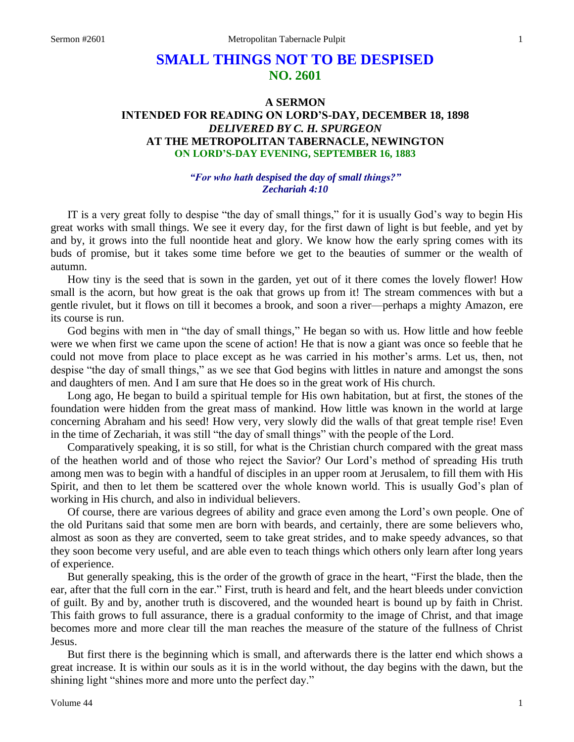# **SMALL THINGS NOT TO BE DESPISED NO. 2601**

# **A SERMON INTENDED FOR READING ON LORD'S-DAY, DECEMBER 18, 1898** *DELIVERED BY C. H. SPURGEON* **AT THE METROPOLITAN TABERNACLE, NEWINGTON ON LORD'S-DAY EVENING, SEPTEMBER 16, 1883**

### *"For who hath despised the day of small things?" Zechariah 4:10*

IT is a very great folly to despise "the day of small things," for it is usually God's way to begin His great works with small things. We see it every day, for the first dawn of light is but feeble, and yet by and by, it grows into the full noontide heat and glory. We know how the early spring comes with its buds of promise, but it takes some time before we get to the beauties of summer or the wealth of autumn.

How tiny is the seed that is sown in the garden, yet out of it there comes the lovely flower! How small is the acorn, but how great is the oak that grows up from it! The stream commences with but a gentle rivulet, but it flows on till it becomes a brook, and soon a river—perhaps a mighty Amazon, ere its course is run.

God begins with men in "the day of small things," He began so with us. How little and how feeble were we when first we came upon the scene of action! He that is now a giant was once so feeble that he could not move from place to place except as he was carried in his mother's arms. Let us, then, not despise "the day of small things," as we see that God begins with littles in nature and amongst the sons and daughters of men. And I am sure that He does so in the great work of His church.

Long ago, He began to build a spiritual temple for His own habitation, but at first, the stones of the foundation were hidden from the great mass of mankind. How little was known in the world at large concerning Abraham and his seed! How very, very slowly did the walls of that great temple rise! Even in the time of Zechariah, it was still "the day of small things" with the people of the Lord.

Comparatively speaking, it is so still, for what is the Christian church compared with the great mass of the heathen world and of those who reject the Savior? Our Lord's method of spreading His truth among men was to begin with a handful of disciples in an upper room at Jerusalem, to fill them with His Spirit, and then to let them be scattered over the whole known world. This is usually God's plan of working in His church, and also in individual believers.

Of course, there are various degrees of ability and grace even among the Lord's own people. One of the old Puritans said that some men are born with beards, and certainly, there are some believers who, almost as soon as they are converted, seem to take great strides, and to make speedy advances, so that they soon become very useful, and are able even to teach things which others only learn after long years of experience.

But generally speaking, this is the order of the growth of grace in the heart, "First the blade, then the ear, after that the full corn in the ear." First, truth is heard and felt, and the heart bleeds under conviction of guilt. By and by, another truth is discovered, and the wounded heart is bound up by faith in Christ. This faith grows to full assurance, there is a gradual conformity to the image of Christ, and that image becomes more and more clear till the man reaches the measure of the stature of the fullness of Christ Jesus.

But first there is the beginning which is small, and afterwards there is the latter end which shows a great increase. It is within our souls as it is in the world without, the day begins with the dawn, but the shining light "shines more and more unto the perfect day."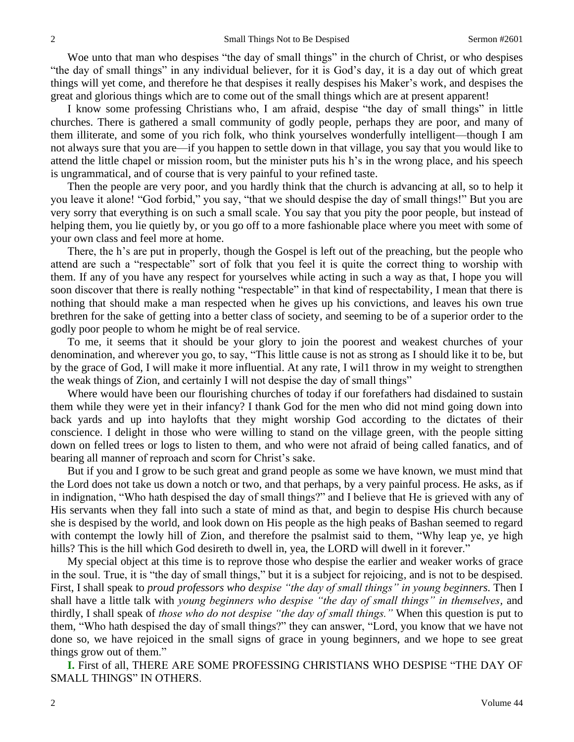Woe unto that man who despises "the day of small things" in the church of Christ, or who despises "the day of small things" in any individual believer, for it is God's day, it is a day out of which great things will yet come, and therefore he that despises it really despises his Maker's work, and despises the great and glorious things which are to come out of the small things which are at present apparent!

I know some professing Christians who, I am afraid, despise "the day of small things" in little churches. There is gathered a small community of godly people, perhaps they are poor, and many of them illiterate, and some of you rich folk, who think yourselves wonderfully intelligent—though I am not always sure that you are—if you happen to settle down in that village, you say that you would like to attend the little chapel or mission room, but the minister puts his h's in the wrong place, and his speech is ungrammatical, and of course that is very painful to your refined taste.

Then the people are very poor, and you hardly think that the church is advancing at all, so to help it you leave it alone! "God forbid," you say, "that we should despise the day of small things!" But you are very sorry that everything is on such a small scale. You say that you pity the poor people, but instead of helping them, you lie quietly by, or you go off to a more fashionable place where you meet with some of your own class and feel more at home.

There, the h's are put in properly, though the Gospel is left out of the preaching, but the people who attend are such a "respectable" sort of folk that you feel it is quite the correct thing to worship with them. If any of you have any respect for yourselves while acting in such a way as that, I hope you will soon discover that there is really nothing "respectable" in that kind of respectability, I mean that there is nothing that should make a man respected when he gives up his convictions, and leaves his own true brethren for the sake of getting into a better class of society, and seeming to be of a superior order to the godly poor people to whom he might be of real service.

To me, it seems that it should be your glory to join the poorest and weakest churches of your denomination, and wherever you go, to say, "This little cause is not as strong as I should like it to be, but by the grace of God, I will make it more influential. At any rate, I wil1 throw in my weight to strengthen the weak things of Zion, and certainly I will not despise the day of small things"

Where would have been our flourishing churches of today if our forefathers had disdained to sustain them while they were yet in their infancy? I thank God for the men who did not mind going down into back yards and up into haylofts that they might worship God according to the dictates of their conscience. I delight in those who were willing to stand on the village green, with the people sitting down on felled trees or logs to listen to them, and who were not afraid of being called fanatics, and of bearing all manner of reproach and scorn for Christ's sake.

But if you and I grow to be such great and grand people as some we have known, we must mind that the Lord does not take us down a notch or two, and that perhaps, by a very painful process. He asks, as if in indignation, "Who hath despised the day of small things?" and I believe that He is grieved with any of His servants when they fall into such a state of mind as that, and begin to despise His church because she is despised by the world, and look down on His people as the high peaks of Bashan seemed to regard with contempt the lowly hill of Zion, and therefore the psalmist said to them, "Why leap ye, ye high hills? This is the hill which God desireth to dwell in, yea, the LORD will dwell in it forever."

My special object at this time is to reprove those who despise the earlier and weaker works of grace in the soul. True, it is "the day of small things," but it is a subject for rejoicing, and is not to be despised. First, I shall speak to *proud professors who despise "the day of small things" in young beginners.* Then I shall have a little talk with *young beginners who despise "the day of small things" in themselves,* and thirdly, I shall speak of *those who do not despise "the day of small things."* When this question is put to them, "Who hath despised the day of small things?" they can answer, "Lord, you know that we have not done so, we have rejoiced in the small signs of grace in young beginners, and we hope to see great things grow out of them."

**I.** First of all, THERE ARE SOME PROFESSING CHRISTIANS WHO DESPISE "THE DAY OF SMALL THINGS" IN OTHERS.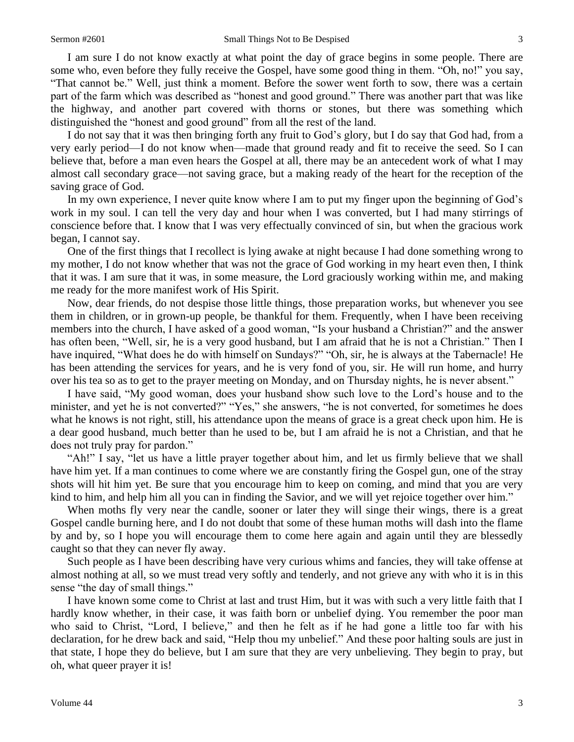I am sure I do not know exactly at what point the day of grace begins in some people. There are some who, even before they fully receive the Gospel, have some good thing in them. "Oh, no!" you say, "That cannot be." Well, just think a moment. Before the sower went forth to sow, there was a certain part of the farm which was described as "honest and good ground." There was another part that was like the highway, and another part covered with thorns or stones, but there was something which distinguished the "honest and good ground" from all the rest of the land.

I do not say that it was then bringing forth any fruit to God's glory, but I do say that God had, from a very early period—I do not know when—made that ground ready and fit to receive the seed. So I can believe that, before a man even hears the Gospel at all, there may be an antecedent work of what I may almost call secondary grace—not saving grace, but a making ready of the heart for the reception of the saving grace of God.

In my own experience, I never quite know where I am to put my finger upon the beginning of God's work in my soul. I can tell the very day and hour when I was converted, but I had many stirrings of conscience before that. I know that I was very effectually convinced of sin, but when the gracious work began, I cannot say.

One of the first things that I recollect is lying awake at night because I had done something wrong to my mother, I do not know whether that was not the grace of God working in my heart even then, I think that it was. I am sure that it was, in some measure, the Lord graciously working within me, and making me ready for the more manifest work of His Spirit.

Now, dear friends, do not despise those little things, those preparation works, but whenever you see them in children, or in grown-up people, be thankful for them. Frequently, when I have been receiving members into the church, I have asked of a good woman, "Is your husband a Christian?" and the answer has often been, "Well, sir, he is a very good husband, but I am afraid that he is not a Christian." Then I have inquired, "What does he do with himself on Sundays?" "Oh, sir, he is always at the Tabernacle! He has been attending the services for years, and he is very fond of you, sir. He will run home, and hurry over his tea so as to get to the prayer meeting on Monday, and on Thursday nights, he is never absent."

I have said, "My good woman, does your husband show such love to the Lord's house and to the minister, and yet he is not converted?" "Yes," she answers, "he is not converted, for sometimes he does what he knows is not right, still, his attendance upon the means of grace is a great check upon him. He is a dear good husband, much better than he used to be, but I am afraid he is not a Christian, and that he does not truly pray for pardon."

"Ah!" I say, "let us have a little prayer together about him, and let us firmly believe that we shall have him yet. If a man continues to come where we are constantly firing the Gospel gun, one of the stray shots will hit him yet. Be sure that you encourage him to keep on coming, and mind that you are very kind to him, and help him all you can in finding the Savior, and we will yet rejoice together over him."

When moths fly very near the candle, sooner or later they will singe their wings, there is a great Gospel candle burning here, and I do not doubt that some of these human moths will dash into the flame by and by, so I hope you will encourage them to come here again and again until they are blessedly caught so that they can never fly away.

Such people as I have been describing have very curious whims and fancies, they will take offense at almost nothing at all, so we must tread very softly and tenderly, and not grieve any with who it is in this sense "the day of small things."

I have known some come to Christ at last and trust Him, but it was with such a very little faith that I hardly know whether, in their case, it was faith born or unbelief dying. You remember the poor man who said to Christ, "Lord, I believe," and then he felt as if he had gone a little too far with his declaration, for he drew back and said, "Help thou my unbelief." And these poor halting souls are just in that state, I hope they do believe, but I am sure that they are very unbelieving. They begin to pray, but oh, what queer prayer it is!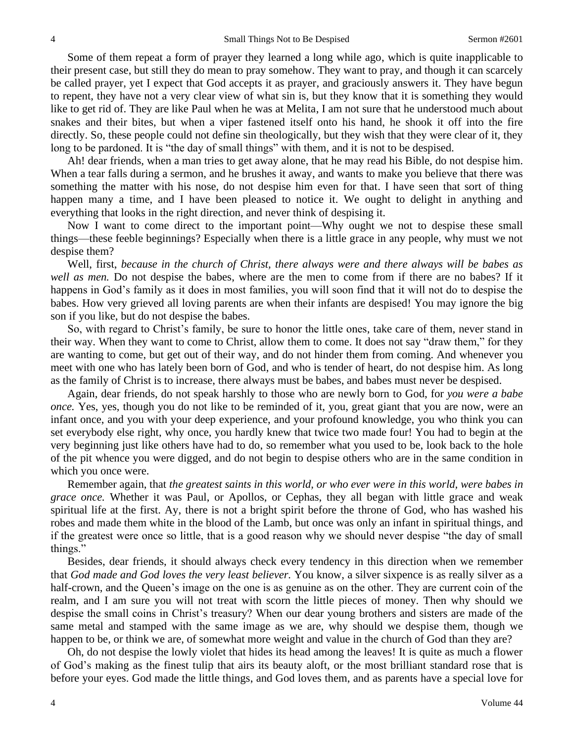Some of them repeat a form of prayer they learned a long while ago, which is quite inapplicable to their present case, but still they do mean to pray somehow. They want to pray, and though it can scarcely be called prayer, yet I expect that God accepts it as prayer, and graciously answers it. They have begun to repent, they have not a very clear view of what sin is, but they know that it is something they would like to get rid of. They are like Paul when he was at Melita, I am not sure that he understood much about snakes and their bites, but when a viper fastened itself onto his hand, he shook it off into the fire directly. So, these people could not define sin theologically, but they wish that they were clear of it, they long to be pardoned. It is "the day of small things" with them, and it is not to be despised.

Ah! dear friends, when a man tries to get away alone, that he may read his Bible, do not despise him. When a tear falls during a sermon, and he brushes it away, and wants to make you believe that there was something the matter with his nose, do not despise him even for that. I have seen that sort of thing happen many a time, and I have been pleased to notice it. We ought to delight in anything and everything that looks in the right direction, and never think of despising it.

Now I want to come direct to the important point—Why ought we not to despise these small things—these feeble beginnings? Especially when there is a little grace in any people, why must we not despise them?

Well, first, *because in the church of Christ, there always were and there always will be babes as well as men.* Do not despise the babes, where are the men to come from if there are no babes? If it happens in God's family as it does in most families, you will soon find that it will not do to despise the babes. How very grieved all loving parents are when their infants are despised! You may ignore the big son if you like, but do not despise the babes.

So, with regard to Christ's family, be sure to honor the little ones, take care of them, never stand in their way. When they want to come to Christ, allow them to come. It does not say "draw them," for they are wanting to come, but get out of their way, and do not hinder them from coming. And whenever you meet with one who has lately been born of God, and who is tender of heart, do not despise him. As long as the family of Christ is to increase, there always must be babes, and babes must never be despised.

Again, dear friends, do not speak harshly to those who are newly born to God, for *you were a babe once.* Yes, yes, though you do not like to be reminded of it, you, great giant that you are now, were an infant once, and you with your deep experience, and your profound knowledge, you who think you can set everybody else right, why once, you hardly knew that twice two made four! You had to begin at the very beginning just like others have had to do, so remember what you used to be, look back to the hole of the pit whence you were digged, and do not begin to despise others who are in the same condition in which you once were.

Remember again, that *the greatest saints in this world, or who ever were in this world, were babes in grace once.* Whether it was Paul, or Apollos, or Cephas, they all began with little grace and weak spiritual life at the first. Ay, there is not a bright spirit before the throne of God, who has washed his robes and made them white in the blood of the Lamb, but once was only an infant in spiritual things, and if the greatest were once so little, that is a good reason why we should never despise "the day of small things."

Besides, dear friends, it should always check every tendency in this direction when we remember that *God made and God loves the very least believer.* You know, a silver sixpence is as really silver as a half-crown, and the Queen's image on the one is as genuine as on the other. They are current coin of the realm, and I am sure you will not treat with scorn the little pieces of money. Then why should we despise the small coins in Christ's treasury? When our dear young brothers and sisters are made of the same metal and stamped with the same image as we are, why should we despise them, though we happen to be, or think we are, of somewhat more weight and value in the church of God than they are?

Oh, do not despise the lowly violet that hides its head among the leaves! It is quite as much a flower of God's making as the finest tulip that airs its beauty aloft, or the most brilliant standard rose that is before your eyes. God made the little things, and God loves them, and as parents have a special love for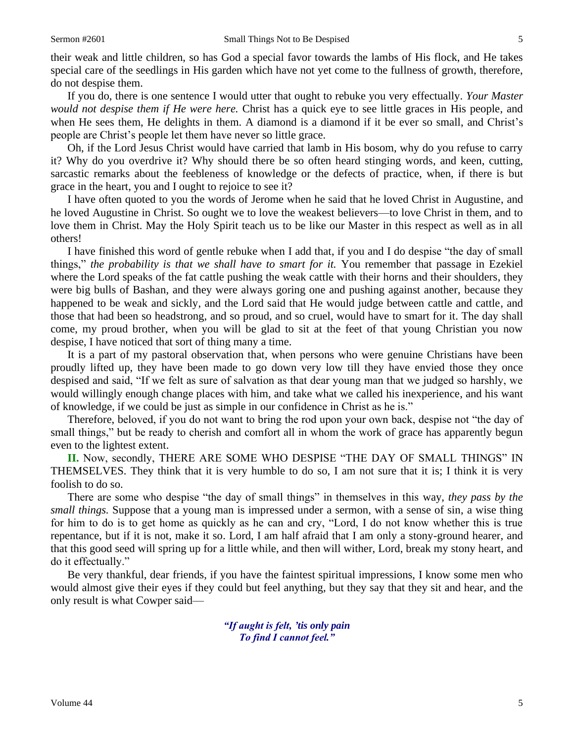their weak and little children, so has God a special favor towards the lambs of His flock, and He takes special care of the seedlings in His garden which have not yet come to the fullness of growth, therefore, do not despise them.

If you do, there is one sentence I would utter that ought to rebuke you very effectually. *Your Master would not despise them if He were here.* Christ has a quick eye to see little graces in His people, and when He sees them, He delights in them. A diamond is a diamond if it be ever so small, and Christ's people are Christ's people let them have never so little grace.

Oh, if the Lord Jesus Christ would have carried that lamb in His bosom, why do you refuse to carry it? Why do you overdrive it? Why should there be so often heard stinging words, and keen, cutting, sarcastic remarks about the feebleness of knowledge or the defects of practice, when, if there is but grace in the heart, you and I ought to rejoice to see it?

I have often quoted to you the words of Jerome when he said that he loved Christ in Augustine, and he loved Augustine in Christ. So ought we to love the weakest believers—to love Christ in them, and to love them in Christ. May the Holy Spirit teach us to be like our Master in this respect as well as in all others!

I have finished this word of gentle rebuke when I add that, if you and I do despise "the day of small things," *the probability is that we shall have to smart for it.* You remember that passage in Ezekiel where the Lord speaks of the fat cattle pushing the weak cattle with their horns and their shoulders, they were big bulls of Bashan, and they were always goring one and pushing against another, because they happened to be weak and sickly, and the Lord said that He would judge between cattle and cattle, and those that had been so headstrong, and so proud, and so cruel, would have to smart for it. The day shall come, my proud brother, when you will be glad to sit at the feet of that young Christian you now despise, I have noticed that sort of thing many a time.

It is a part of my pastoral observation that, when persons who were genuine Christians have been proudly lifted up, they have been made to go down very low till they have envied those they once despised and said, "If we felt as sure of salvation as that dear young man that we judged so harshly, we would willingly enough change places with him, and take what we called his inexperience, and his want of knowledge, if we could be just as simple in our confidence in Christ as he is."

Therefore, beloved, if you do not want to bring the rod upon your own back, despise not "the day of small things," but be ready to cherish and comfort all in whom the work of grace has apparently begun even to the lightest extent.

**II.** Now, secondly, THERE ARE SOME WHO DESPISE "THE DAY OF SMALL THINGS" IN THEMSELVES. They think that it is very humble to do so, I am not sure that it is; I think it is very foolish to do so.

There are some who despise "the day of small things" in themselves in this way, *they pass by the small things.* Suppose that a young man is impressed under a sermon, with a sense of sin, a wise thing for him to do is to get home as quickly as he can and cry, "Lord, I do not know whether this is true repentance, but if it is not, make it so. Lord, I am half afraid that I am only a stony-ground hearer, and that this good seed will spring up for a little while, and then will wither, Lord, break my stony heart, and do it effectually."

Be very thankful, dear friends, if you have the faintest spiritual impressions, I know some men who would almost give their eyes if they could but feel anything, but they say that they sit and hear, and the only result is what Cowper said—

> *"If aught is felt, 'tis only pain To find I cannot feel."*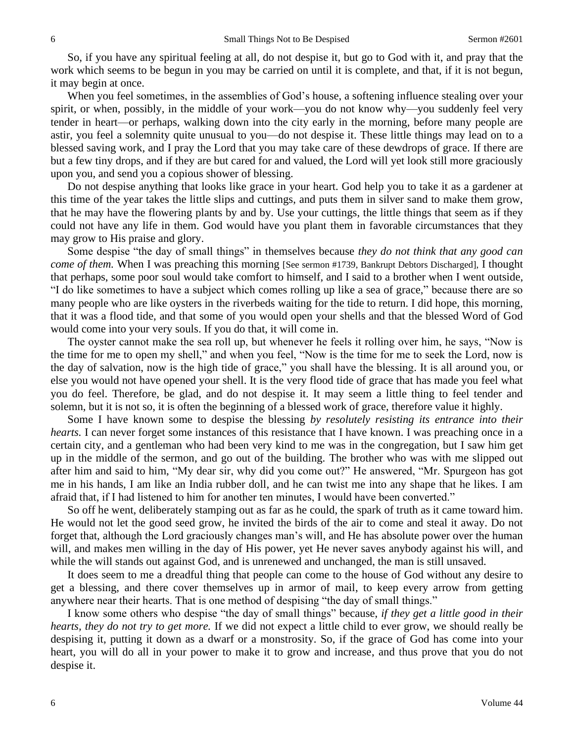So, if you have any spiritual feeling at all, do not despise it, but go to God with it, and pray that the work which seems to be begun in you may be carried on until it is complete, and that, if it is not begun, it may begin at once.

When you feel sometimes, in the assemblies of God's house, a softening influence stealing over your spirit, or when, possibly, in the middle of your work—you do not know why—you suddenly feel very tender in heart—or perhaps, walking down into the city early in the morning, before many people are astir, you feel a solemnity quite unusual to you—do not despise it. These little things may lead on to a blessed saving work, and I pray the Lord that you may take care of these dewdrops of grace. If there are but a few tiny drops, and if they are but cared for and valued, the Lord will yet look still more graciously upon you, and send you a copious shower of blessing.

Do not despise anything that looks like grace in your heart. God help you to take it as a gardener at this time of the year takes the little slips and cuttings, and puts them in silver sand to make them grow, that he may have the flowering plants by and by. Use your cuttings, the little things that seem as if they could not have any life in them. God would have you plant them in favorable circumstances that they may grow to His praise and glory.

Some despise "the day of small things" in themselves because *they do not think that any good can come of them.* When I was preaching this morning [See sermon #1739, Bankrupt Debtors Discharged], I thought that perhaps, some poor soul would take comfort to himself, and I said to a brother when I went outside, "I do like sometimes to have a subject which comes rolling up like a sea of grace," because there are so many people who are like oysters in the riverbeds waiting for the tide to return. I did hope, this morning, that it was a flood tide, and that some of you would open your shells and that the blessed Word of God would come into your very souls. If you do that, it will come in.

The oyster cannot make the sea roll up, but whenever he feels it rolling over him, he says, "Now is the time for me to open my shell," and when you feel, "Now is the time for me to seek the Lord, now is the day of salvation, now is the high tide of grace," you shall have the blessing. It is all around you, or else you would not have opened your shell. It is the very flood tide of grace that has made you feel what you do feel. Therefore, be glad, and do not despise it. It may seem a little thing to feel tender and solemn, but it is not so, it is often the beginning of a blessed work of grace, therefore value it highly.

Some I have known some to despise the blessing *by resolutely resisting its entrance into their hearts.* I can never forget some instances of this resistance that I have known. I was preaching once in a certain city, and a gentleman who had been very kind to me was in the congregation, but I saw him get up in the middle of the sermon, and go out of the building. The brother who was with me slipped out after him and said to him, "My dear sir, why did you come out?" He answered, "Mr. Spurgeon has got me in his hands, I am like an India rubber doll, and he can twist me into any shape that he likes. I am afraid that, if I had listened to him for another ten minutes, I would have been converted."

So off he went, deliberately stamping out as far as he could, the spark of truth as it came toward him. He would not let the good seed grow, he invited the birds of the air to come and steal it away. Do not forget that, although the Lord graciously changes man's will, and He has absolute power over the human will, and makes men willing in the day of His power, yet He never saves anybody against his will, and while the will stands out against God, and is unrenewed and unchanged, the man is still unsaved.

It does seem to me a dreadful thing that people can come to the house of God without any desire to get a blessing, and there cover themselves up in armor of mail, to keep every arrow from getting anywhere near their hearts. That is one method of despising "the day of small things."

I know some others who despise "the day of small things" because, *if they get a little good in their hearts, they do not try to get more.* If we did not expect a little child to ever grow, we should really be despising it, putting it down as a dwarf or a monstrosity. So, if the grace of God has come into your heart, you will do all in your power to make it to grow and increase, and thus prove that you do not despise it.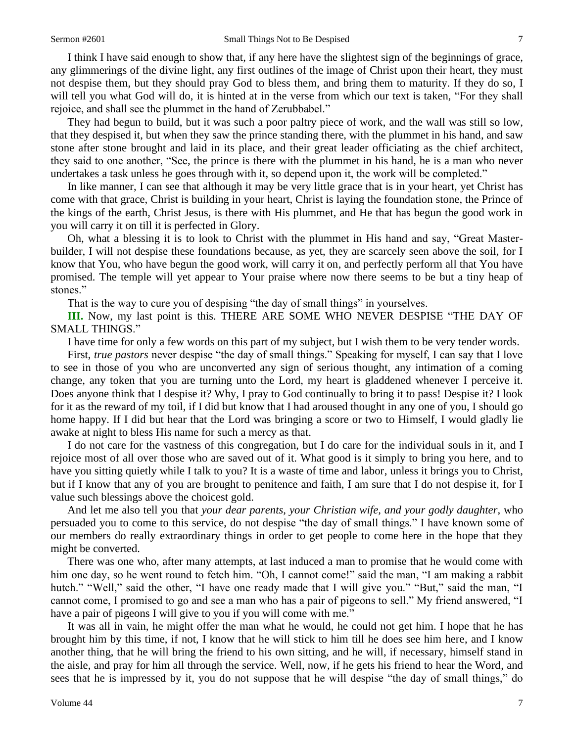I think I have said enough to show that, if any here have the slightest sign of the beginnings of grace, any glimmerings of the divine light, any first outlines of the image of Christ upon their heart, they must not despise them, but they should pray God to bless them, and bring them to maturity. If they do so, I will tell you what God will do, it is hinted at in the verse from which our text is taken, "For they shall rejoice, and shall see the plummet in the hand of Zerubbabel."

They had begun to build, but it was such a poor paltry piece of work, and the wall was still so low, that they despised it, but when they saw the prince standing there, with the plummet in his hand, and saw stone after stone brought and laid in its place, and their great leader officiating as the chief architect, they said to one another, "See, the prince is there with the plummet in his hand, he is a man who never undertakes a task unless he goes through with it, so depend upon it, the work will be completed."

In like manner, I can see that although it may be very little grace that is in your heart, yet Christ has come with that grace, Christ is building in your heart, Christ is laying the foundation stone, the Prince of the kings of the earth, Christ Jesus, is there with His plummet, and He that has begun the good work in you will carry it on till it is perfected in Glory.

Oh, what a blessing it is to look to Christ with the plummet in His hand and say, "Great Masterbuilder, I will not despise these foundations because, as yet, they are scarcely seen above the soil, for I know that You*,* who have begun the good work, will carry it on, and perfectly perform all that You have promised. The temple will yet appear to Your praise where now there seems to be but a tiny heap of stones."

That is the way to cure you of despising "the day of small things" in yourselves.

**III.** Now, my last point is this. THERE ARE SOME WHO NEVER DESPISE "THE DAY OF SMALL THINGS."

I have time for only a few words on this part of my subject, but I wish them to be very tender words.

First, *true pastors* never despise "the day of small things." Speaking for myself, I can say that I love to see in those of you who are unconverted any sign of serious thought, any intimation of a coming change, any token that you are turning unto the Lord, my heart is gladdened whenever I perceive it. Does anyone think that I despise it? Why, I pray to God continually to bring it to pass! Despise it? I look for it as the reward of my toil, if I did but know that I had aroused thought in any one of you, I should go home happy. If I did but hear that the Lord was bringing a score or two to Himself, I would gladly lie awake at night to bless His name for such a mercy as that.

I do not care for the vastness of this congregation, but I do care for the individual souls in it, and I rejoice most of all over those who are saved out of it. What good is it simply to bring you here, and to have you sitting quietly while I talk to you? It is a waste of time and labor, unless it brings you to Christ, but if I know that any of you are brought to penitence and faith, I am sure that I do not despise it, for I value such blessings above the choicest gold.

And let me also tell you that *your dear parents, your Christian wife, and your godly daughter,* who persuaded you to come to this service, do not despise "the day of small things." I have known some of our members do really extraordinary things in order to get people to come here in the hope that they might be converted.

There was one who, after many attempts, at last induced a man to promise that he would come with him one day, so he went round to fetch him. "Oh, I cannot come!" said the man, "I am making a rabbit hutch." "Well," said the other, "I have one ready made that I will give you." "But," said the man, "I cannot come, I promised to go and see a man who has a pair of pigeons to sell." My friend answered, "I have a pair of pigeons I will give to you if you will come with me."

It was all in vain, he might offer the man what he would, he could not get him. I hope that he has brought him by this time, if not, I know that he will stick to him till he does see him here, and I know another thing, that he will bring the friend to his own sitting, and he will, if necessary, himself stand in the aisle, and pray for him all through the service. Well, now, if he gets his friend to hear the Word, and sees that he is impressed by it, you do not suppose that he will despise "the day of small things," do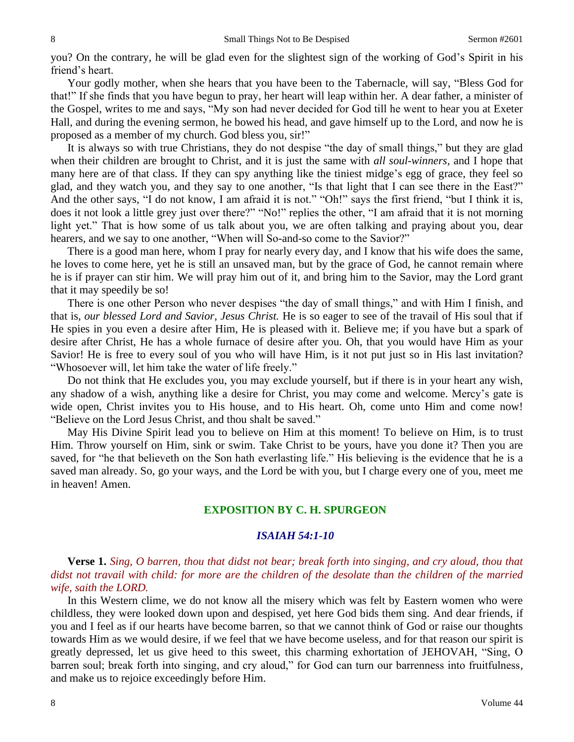you? On the contrary, he will be glad even for the slightest sign of the working of God's Spirit in his friend's heart.

Your godly mother, when she hears that you have been to the Tabernacle, will say, "Bless God for that!" If she finds that you have begun to pray, her heart will leap within her. A dear father, a minister of the Gospel, writes to me and says, "My son had never decided for God till he went to hear you at Exeter Hall, and during the evening sermon, he bowed his head, and gave himself up to the Lord, and now he is proposed as a member of my church. God bless you, sir!"

It is always so with true Christians, they do not despise "the day of small things," but they are glad when their children are brought to Christ, and it is just the same with *all soul-winners,* and I hope that many here are of that class. If they can spy anything like the tiniest midge's egg of grace, they feel so glad, and they watch you, and they say to one another, "Is that light that I can see there in the East?" And the other says, "I do not know, I am afraid it is not." "Oh!" says the first friend, "but I think it is, does it not look a little grey just over there?" "No!" replies the other, "I am afraid that it is not morning light yet." That is how some of us talk about you, we are often talking and praying about you, dear hearers, and we say to one another, "When will So-and-so come to the Savior?"

There is a good man here, whom I pray for nearly every day, and I know that his wife does the same, he loves to come here, yet he is still an unsaved man, but by the grace of God, he cannot remain where he is if prayer can stir him. We will pray him out of it, and bring him to the Savior, may the Lord grant that it may speedily be so!

There is one other Person who never despises "the day of small things," and with Him I finish, and that is, *our blessed Lord and Savior, Jesus Christ.* He is so eager to see of the travail of His soul that if He spies in you even a desire after Him, He is pleased with it. Believe me; if you have but a spark of desire after Christ, He has a whole furnace of desire after you. Oh, that you would have Him as your Savior! He is free to every soul of you who will have Him, is it not put just so in His last invitation? "Whosoever will, let him take the water of life freely."

Do not think that He excludes you, you may exclude yourself, but if there is in your heart any wish, any shadow of a wish, anything like a desire for Christ, you may come and welcome. Mercy's gate is wide open, Christ invites you to His house, and to His heart. Oh, come unto Him and come now! "Believe on the Lord Jesus Christ, and thou shalt be saved."

May His Divine Spirit lead you to believe on Him at this moment! To believe on Him, is to trust Him. Throw yourself on Him, sink or swim. Take Christ to be yours, have you done it? Then you are saved, for "he that believeth on the Son hath everlasting life." His believing is the evidence that he is a saved man already. So, go your ways, and the Lord be with you, but I charge every one of you, meet me in heaven! Amen.

# **EXPOSITION BY C. H. SPURGEON**

## *ISAIAH 54:1-10*

**Verse 1.** *Sing, O barren, thou that didst not bear; break forth into singing, and cry aloud, thou that didst not travail with child: for more are the children of the desolate than the children of the married wife, saith the LORD.*

In this Western clime, we do not know all the misery which was felt by Eastern women who were childless, they were looked down upon and despised, yet here God bids them sing. And dear friends, if you and I feel as if our hearts have become barren, so that we cannot think of God or raise our thoughts towards Him as we would desire, if we feel that we have become useless, and for that reason our spirit is greatly depressed, let us give heed to this sweet, this charming exhortation of JEHOVAH, "Sing, O barren soul; break forth into singing, and cry aloud," for God can turn our barrenness into fruitfulness, and make us to rejoice exceedingly before Him.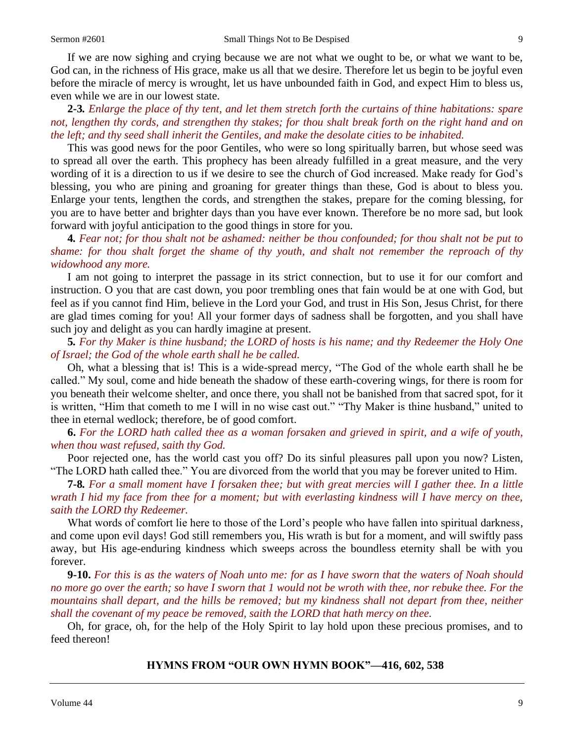If we are now sighing and crying because we are not what we ought to be, or what we want to be, God can, in the richness of His grace, make us all that we desire. Therefore let us begin to be joyful even before the miracle of mercy is wrought, let us have unbounded faith in God, and expect Him to bless us, even while we are in our lowest state.

**2***-***3***. Enlarge the place of thy tent, and let them stretch forth the curtains of thine habitations: spare not, lengthen thy cords, and strengthen thy stakes; for thou shalt break forth on the right hand and on the left; and thy seed shall inherit the Gentiles, and make the desolate cities to be inhabited.*

This was good news for the poor Gentiles, who were so long spiritually barren, but whose seed was to spread all over the earth. This prophecy has been already fulfilled in a great measure, and the very wording of it is a direction to us if we desire to see the church of God increased. Make ready for God's blessing, you who are pining and groaning for greater things than these, God is about to bless you. Enlarge your tents, lengthen the cords, and strengthen the stakes, prepare for the coming blessing, for you are to have better and brighter days than you have ever known. Therefore be no more sad, but look forward with joyful anticipation to the good things in store for you.

**4***. Fear not; for thou shalt not be ashamed: neither be thou confounded; for thou shalt not be put to shame: for thou shalt forget the shame of thy youth, and shalt not remember the reproach of thy widowhood any more.*

I am not going to interpret the passage in its strict connection, but to use it for our comfort and instruction. O you that are cast down, you poor trembling ones that fain would be at one with God, but feel as if you cannot find Him, believe in the Lord your God, and trust in His Son, Jesus Christ, for there are glad times coming for you! All your former days of sadness shall be forgotten, and you shall have such joy and delight as you can hardly imagine at present.

**5***. For thy Maker is thine husband; the LORD of hosts is his name; and thy Redeemer the Holy One of Israel; the God of the whole earth shall he be called.*

Oh, what a blessing that is! This is a wide-spread mercy, "The God of the whole earth shall he be called." My soul, come and hide beneath the shadow of these earth-covering wings, for there is room for you beneath their welcome shelter, and once there, you shall not be banished from that sacred spot, for it is written, "Him that cometh to me I will in no wise cast out." "Thy Maker is thine husband," united to thee in eternal wedlock; therefore, be of good comfort.

**6.** *For the LORD hath called thee as a woman forsaken and grieved in spirit, and a wife of youth, when thou wast refused, saith thy God.*

Poor rejected one, has the world cast you off? Do its sinful pleasures pall upon you now? Listen, "The LORD hath called thee." You are divorced from the world that you may be forever united to Him.

**7***-***8***. For a small moment have I forsaken thee; but with great mercies will I gather thee. In a little wrath I hid my face from thee for a moment; but with everlasting kindness will I have mercy on thee, saith the LORD thy Redeemer.*

What words of comfort lie here to those of the Lord's people who have fallen into spiritual darkness, and come upon evil days! God still remembers you, His wrath is but for a moment, and will swiftly pass away, but His age-enduring kindness which sweeps across the boundless eternity shall be with you forever.

**9-10.** *For this is as the waters of Noah unto me: for as I have sworn that the waters of Noah should no more go over the earth; so have I sworn that 1 would not be wroth with thee, nor rebuke thee. For the mountains shall depart, and the hills be removed; but my kindness shall not depart from thee, neither shall the covenant of my peace be removed, saith the LORD that hath mercy on thee.* 

Oh, for grace, oh, for the help of the Holy Spirit to lay hold upon these precious promises, and to feed thereon!

## **HYMNS FROM "OUR OWN HYMN BOOK"—416, 602, 538**